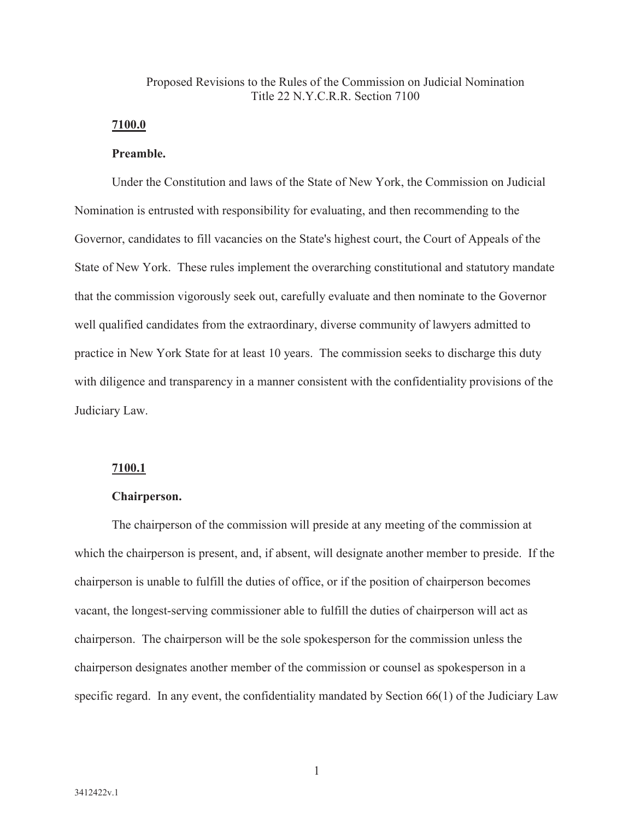# Proposed Revisions to the Rules of the Commission on Judicial Nomination Title  $22$  N Y C R R. Section 7100

# **7100.0**

# **Preamble.**

Under the Constitution and laws of the State of New York, the Commission on Judicial Nomination is entrusted with responsibility for evaluating, and then recommending to the Governor, candidates to fill vacancies on the State's highest court, the Court of Appeals of the State of New York. These rules implement the overarching constitutional and statutory mandate that the commission vigorously seek out, carefully evaluate and then nominate to the Governor well qualified candidates from the extraordinary, diverse community of lawyers admitted to practice in New York State for at least 10 years. The commission seeks to discharge this duty with diligence and transparency in a manner consistent with the confidentiality provisions of the Judiciary Law.

## **7100.1**

## **Chairperson.**

The chairperson of the commission will preside at any meeting of the commission at which the chairperson is present, and, if absent, will designate another member to preside. If the chairperson is unable to fulfill the duties of office, or if the position of chairperson becomes vacant, the longest-serving commissioner able to fulfill the duties of chairperson will act as chairperson. The chairperson will be the sole spokesperson for the commission unless the chairperson designates another member of the commission or counsel as spokesperson in a specific regard. In any event, the confidentiality mandated by Section 66(1) of the Judiciary Law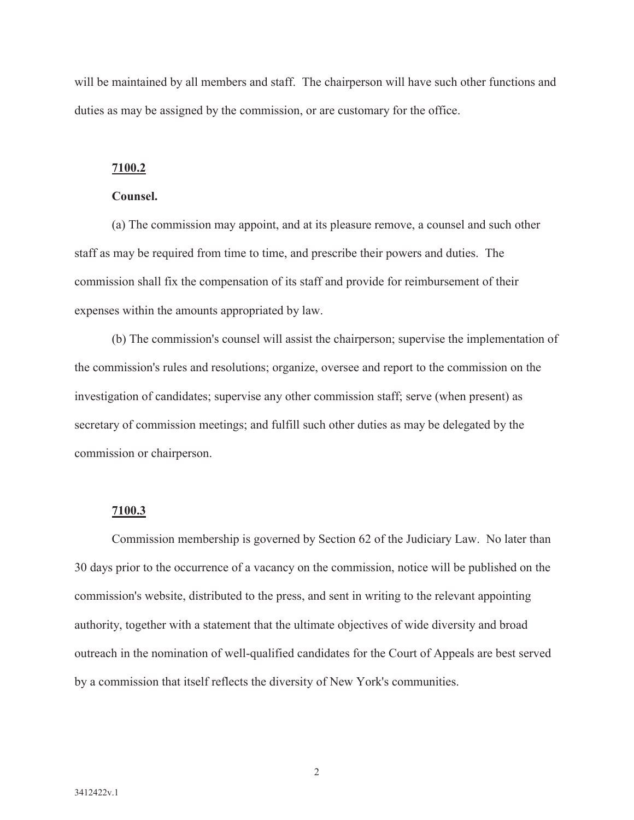will be maintained by all members and staff. The chairperson will have such other functions and duties as may be assigned by the commission, or are customary for the office.

# **7100.2**

### **Counsel.**

(a) The commission may appoint, and at its pleasure remove, a counsel and such other staff as may be required from time to time, and prescribe their powers and duties. The commission shall fix the compensation of its staff and provide for reimbursement of their expenses within the amounts appropriated by law.

(b) The commission's counsel will assist the chairperson; supervise the implementation of the commission's rules and resolutions; organize, oversee and report to the commission on the investigation of candidates; supervise any other commission staff; serve (when present) as secretary of commission meetings; and fulfill such other duties as may be delegated by the commission or chairperson.

## **7100.3**

Commission membership is governed by Section 62 of the Judiciary Law. No later than 30 days prior to the occurrence of a vacancy on the commission, notice will be published on the commission's website, distributed to the press, and sent in writing to the relevant appointing authority, together with a statement that the ultimate objectives of wide diversity and broad outreach in the nomination of well-qualified candidates for the Court of Appeals are best served by a commission that itself reflects the diversity of New York's communities.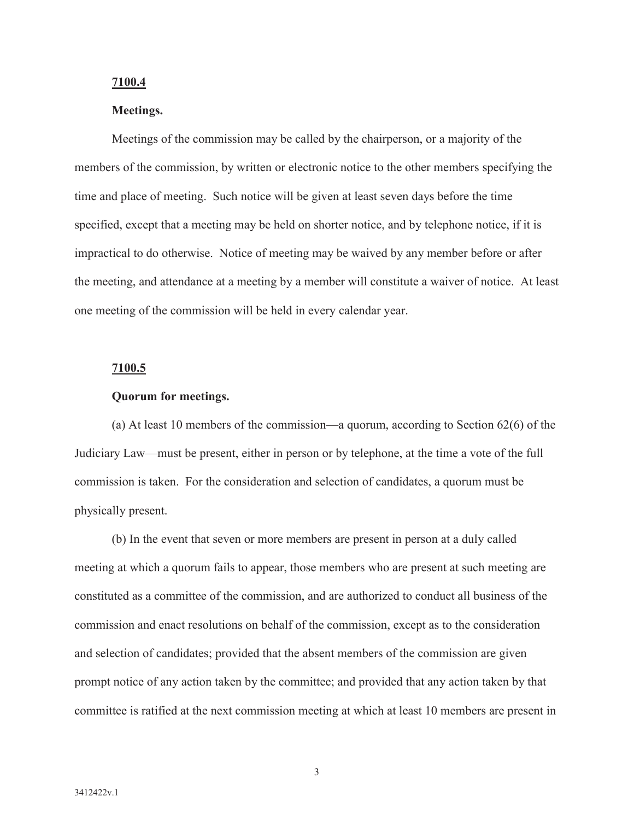### **7100.4**

# **Meetings.**

Meetings of the commission may be called by the chairperson, or a majority of the members of the commission, by written or electronic notice to the other members specifying the time and place of meeting. Such notice will be given at least seven days before the time specified, except that a meeting may be held on shorter notice, and by telephone notice, if it is impractical to do otherwise. Notice of meeting may be waived by any member before or after the meeting, and attendance at a meeting by a member will constitute a waiver of notice. At least one meeting of the commission will be held in every calendar year.

#### **7100.5**

### **Quorum for meetings.**

(a) At least 10 members of the commission—a quorum, according to Section 62(6) of the Judiciary Law—must be present, either in person or by telephone, at the time a vote of the full commission is taken. For the consideration and selection of candidates, a quorum must be physically present.

(b) In the event that seven or more members are present in person at a duly called meeting at which a quorum fails to appear, those members who are present at such meeting are constituted as a committee of the commission, and are authorized to conduct all business of the commission and enact resolutions on behalf of the commission, except as to the consideration and selection of candidates; provided that the absent members of the commission are given prompt notice of any action taken by the committee; and provided that any action taken by that committee is ratified at the next commission meeting at which at least 10 members are present in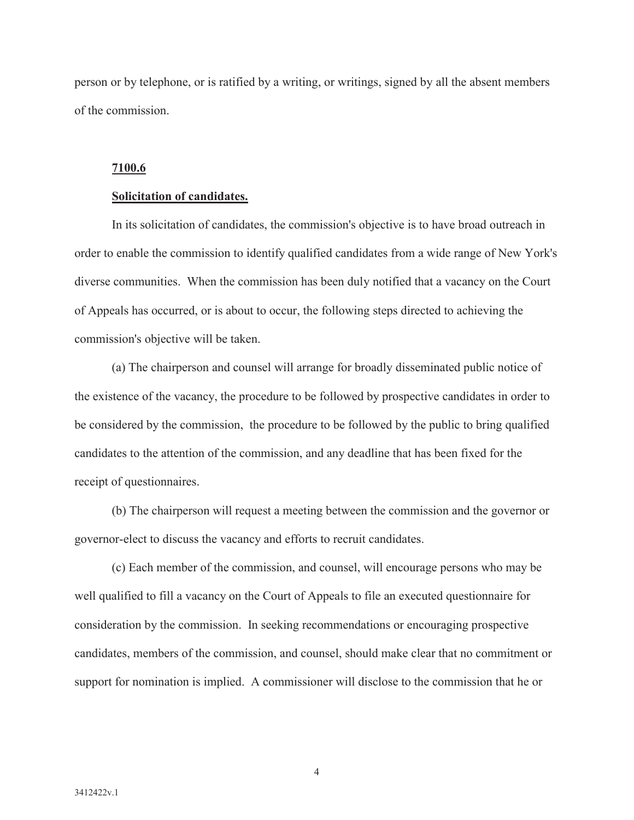person or by telephone, or is ratified by a writing, or writings, signed by all the absent members of the commission.

### **7100.6**

#### **Solicitation of candidates.**

In its solicitation of candidates, the commission's objective is to have broad outreach in order to enable the commission to identify qualified candidates from a wide range of New York's diverse communities. When the commission has been duly notified that a vacancy on the Court of Appeals has occurred, or is about to occur, the following steps directed to achieving the commission's objective will be taken.

(a) The chairperson and counsel will arrange for broadly disseminated public notice of the existence of the vacancy, the procedure to be followed by prospective candidates in order to be considered by the commission, the procedure to be followed by the public to bring qualified candidates to the attention of the commission, and any deadline that has been fixed for the receipt of questionnaires.

(b) The chairperson will request a meeting between the commission and the governor or governor-elect to discuss the vacancy and efforts to recruit candidates.

(c) Each member of the commission, and counsel, will encourage persons who may be well qualified to fill a vacancy on the Court of Appeals to file an executed questionnaire for consideration by the commission. In seeking recommendations or encouraging prospective candidates, members of the commission, and counsel, should make clear that no commitment or support for nomination is implied. A commissioner will disclose to the commission that he or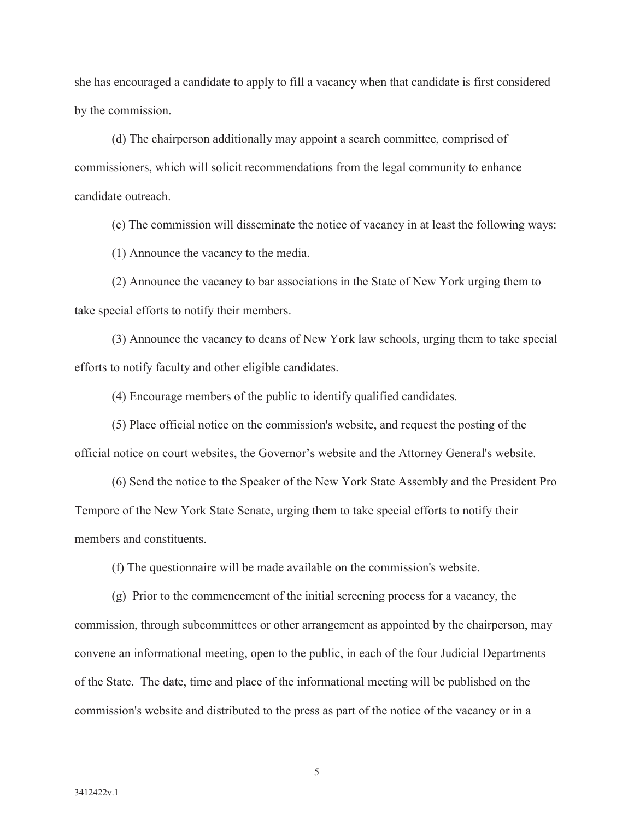she has encouraged a candidate to apply to fill a vacancy when that candidate is first considered by the commission.

(d) The chairperson additionally may appoint a search committee, comprised of commissioners, which will solicit recommendations from the legal community to enhance candidate outreach.

(e) The commission will disseminate the notice of vacancy in at least the following ways:

(1) Announce the vacancy to the media.

(2) Announce the vacancy to bar associations in the State of New York urging them to take special efforts to notify their members.

(3) Announce the vacancy to deans of New York law schools, urging them to take special efforts to notify faculty and other eligible candidates.

(4) Encourage members of the public to identify qualified candidates.

(5) Place official notice on the commission's website, and request the posting of the official notice on court websites, the Governor's website and the Attorney General's website.

(6) Send the notice to the Speaker of the New York State Assembly and the President Pro Tempore of the New York State Senate, urging them to take special efforts to notify their members and constituents.

(f) The questionnaire will be made available on the commission's website.

(g) Prior to the commencement of the initial screening process for a vacancy, the commission, through subcommittees or other arrangement as appointed by the chairperson, may convene an informational meeting, open to the public, in each of the four Judicial Departments of the State. The date, time and place of the informational meeting will be published on the commission's website and distributed to the press as part of the notice of the vacancy or in a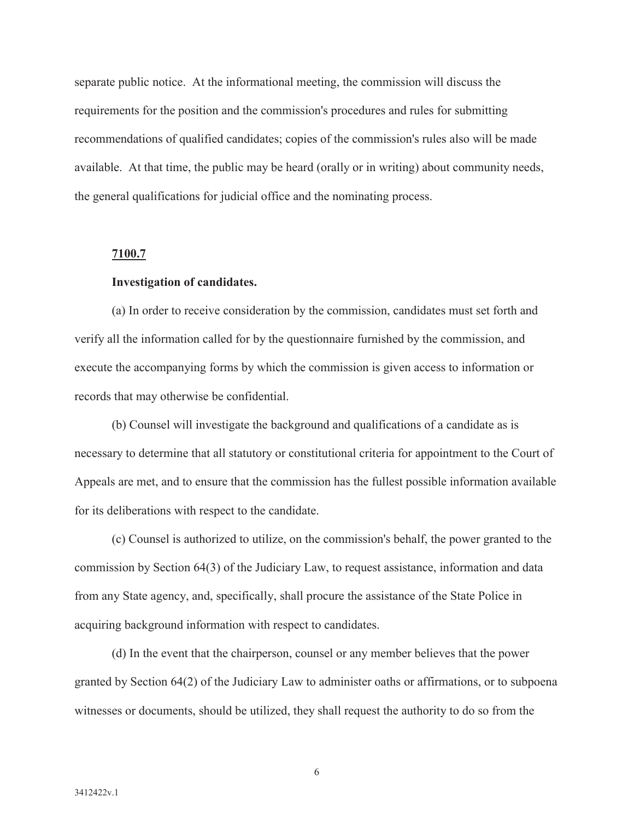separate public notice. At the informational meeting, the commission will discuss the requirements for the position and the commission's procedures and rules for submitting recommendations of qualified candidates; copies of the commission's rules also will be made available. At that time, the public may be heard (orally or in writing) about community needs, the general qualifications for judicial office and the nominating process.

#### **7100.7**

# **Investigation of candidates.**

(a) In order to receive consideration by the commission, candidates must set forth and verify all the information called for by the questionnaire furnished by the commission, and execute the accompanying forms by which the commission is given access to information or records that may otherwise be confidential.

(b) Counsel will investigate the background and qualifications of a candidate as is necessary to determine that all statutory or constitutional criteria for appointment to the Court of Appeals are met, and to ensure that the commission has the fullest possible information available for its deliberations with respect to the candidate.

(c) Counsel is authorized to utilize, on the commission's behalf, the power granted to the commission by Section 64(3) of the Judiciary Law, to request assistance, information and data from any State agency, and, specifically, shall procure the assistance of the State Police in acquiring background information with respect to candidates.

(d) In the event that the chairperson, counsel or any member believes that the power granted by Section 64(2) of the Judiciary Law to administer oaths or affirmations, or to subpoena witnesses or documents, should be utilized, they shall request the authority to do so from the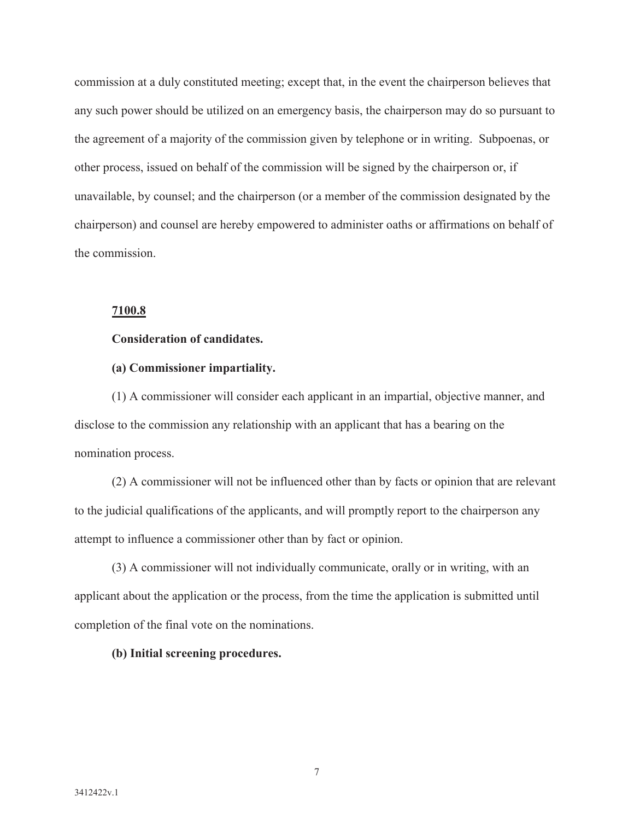commission at a duly constituted meeting; except that, in the event the chairperson believes that any such power should be utilized on an emergency basis, the chairperson may do so pursuant to the agreement of a majority of the commission given by telephone or in writing. Subpoenas, or other process, issued on behalf of the commission will be signed by the chairperson or, if unavailable, by counsel; and the chairperson (or a member of the commission designated by the chairperson) and counsel are hereby empowered to administer oaths or affirmations on behalf of the commission.

# **7100.8**

# **Consideration of candidates.**

# **(a) Commissioner impartiality.**

(1) A commissioner will consider each applicant in an impartial, objective manner, and disclose to the commission any relationship with an applicant that has a bearing on the nomination process.

(2) A commissioner will not be influenced other than by facts or opinion that are relevant to the judicial qualifications of the applicants, and will promptly report to the chairperson any attempt to influence a commissioner other than by fact or opinion.

(3) A commissioner will not individually communicate, orally or in writing, with an applicant about the application or the process, from the time the application is submitted until completion of the final vote on the nominations.

# **(b) Initial screening procedures.**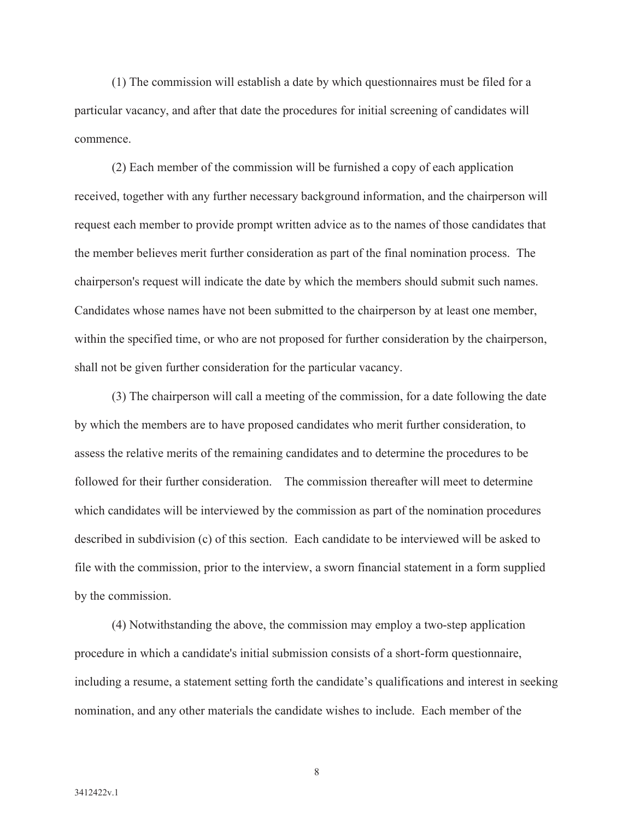(1) The commission will establish a date by which questionnaires must be filed for a particular vacancy, and after that date the procedures for initial screening of candidates will commence.

(2) Each member of the commission will be furnished a copy of each application received, together with any further necessary background information, and the chairperson will request each member to provide prompt written advice as to the names of those candidates that the member believes merit further consideration as part of the final nomination process. The chairperson's request will indicate the date by which the members should submit such names. Candidates whose names have not been submitted to the chairperson by at least one member, within the specified time, or who are not proposed for further consideration by the chairperson, shall not be given further consideration for the particular vacancy.

(3) The chairperson will call a meeting of the commission, for a date following the date by which the members are to have proposed candidates who merit further consideration, to assess the relative merits of the remaining candidates and to determine the procedures to be followed for their further consideration. The commission thereafter will meet to determine which candidates will be interviewed by the commission as part of the nomination procedures described in subdivision (c) of this section. Each candidate to be interviewed will be asked to file with the commission, prior to the interview, a sworn financial statement in a form supplied by the commission.

(4) Notwithstanding the above, the commission may employ a two-step application procedure in which a candidate's initial submission consists of a short-form questionnaire, including a resume, a statement setting forth the candidate's qualifications and interest in seeking nomination, and any other materials the candidate wishes to include. Each member of the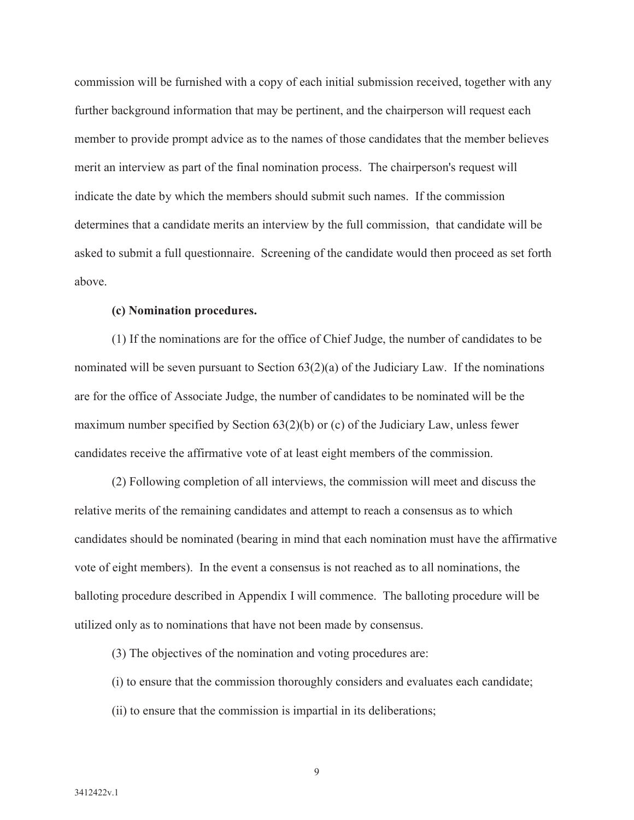commission will be furnished with a copy of each initial submission received, together with any further background information that may be pertinent, and the chairperson will request each member to provide prompt advice as to the names of those candidates that the member believes merit an interview as part of the final nomination process. The chairperson's request will indicate the date by which the members should submit such names. If the commission determines that a candidate merits an interview by the full commission, that candidate will be asked to submit a full questionnaire. Screening of the candidate would then proceed as set forth above.

### **(c) Nomination procedures.**

(1) If the nominations are for the office of Chief Judge, the number of candidates to be nominated will be seven pursuant to Section  $63(2)(a)$  of the Judiciary Law. If the nominations are for the office of Associate Judge, the number of candidates to be nominated will be the maximum number specified by Section 63(2)(b) or (c) of the Judiciary Law, unless fewer candidates receive the affirmative vote of at least eight members of the commission.

(2) Following completion of all interviews, the commission will meet and discuss the relative merits of the remaining candidates and attempt to reach a consensus as to which candidates should be nominated (bearing in mind that each nomination must have the affirmative vote of eight members). In the event a consensus is not reached as to all nominations, the balloting procedure described in Appendix I will commence. The balloting procedure will be utilized only as to nominations that have not been made by consensus.

(3) The objectives of the nomination and voting procedures are:

(i) to ensure that the commission thoroughly considers and evaluates each candidate;

(ii) to ensure that the commission is impartial in its deliberations;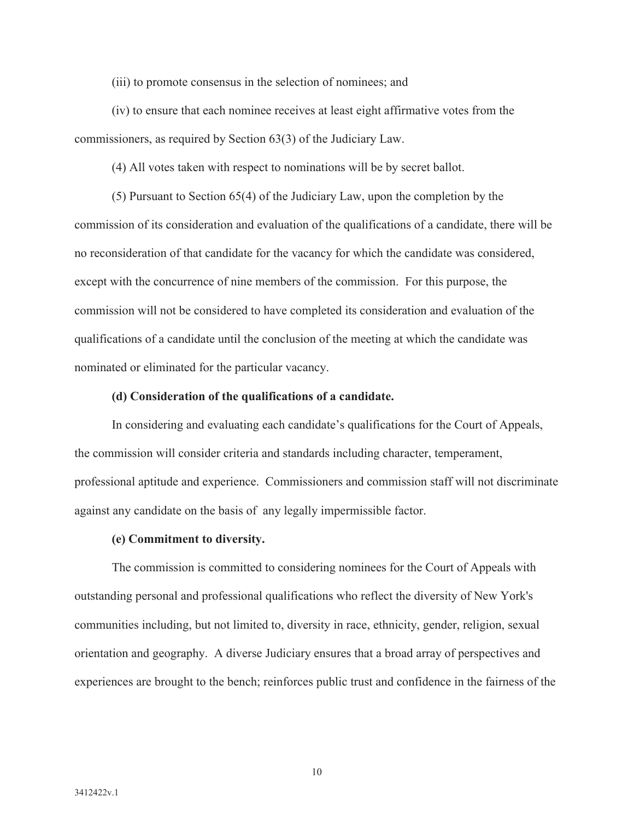(iii) to promote consensus in the selection of nominees; and

(iv) to ensure that each nominee receives at least eight affirmative votes from the commissioners, as required by Section 63(3) of the Judiciary Law.

(4) All votes taken with respect to nominations will be by secret ballot.

(5) Pursuant to Section 65(4) of the Judiciary Law, upon the completion by the commission of its consideration and evaluation of the qualifications of a candidate, there will be no reconsideration of that candidate for the vacancy for which the candidate was considered, except with the concurrence of nine members of the commission. For this purpose, the commission will not be considered to have completed its consideration and evaluation of the qualifications of a candidate until the conclusion of the meeting at which the candidate was nominated or eliminated for the particular vacancy.

## **(d) Consideration of the qualifications of a candidate.**

In considering and evaluating each candidate's qualifications for the Court of Appeals, the commission will consider criteria and standards including character, temperament, professional aptitude and experience. Commissioners and commission staff will not discriminate against any candidate on the basis of any legally impermissible factor.

### **(e) Commitment to diversity.**

The commission is committed to considering nominees for the Court of Appeals with outstanding personal and professional qualifications who reflect the diversity of New York's communities including, but not limited to, diversity in race, ethnicity, gender, religion, sexual orientation and geography. A diverse Judiciary ensures that a broad array of perspectives and experiences are brought to the bench; reinforces public trust and confidence in the fairness of the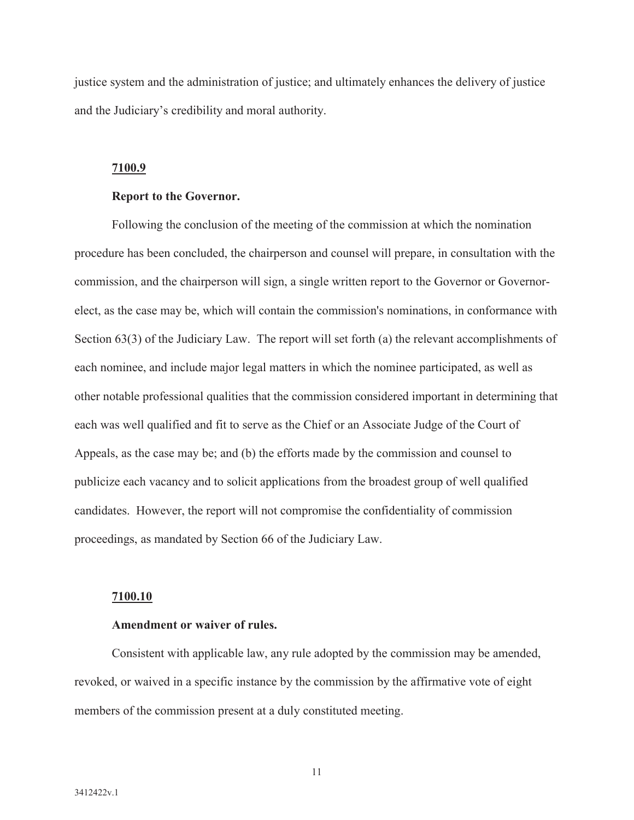justice system and the administration of justice; and ultimately enhances the delivery of justice and the Judiciary's credibility and moral authority.

#### **7100.9**

### **Report to the Governor.**

Following the conclusion of the meeting of the commission at which the nomination procedure has been concluded, the chairperson and counsel will prepare, in consultation with the commission, and the chairperson will sign, a single written report to the Governor or Governorelect, as the case may be, which will contain the commission's nominations, in conformance with Section 63(3) of the Judiciary Law. The report will set forth (a) the relevant accomplishments of each nominee, and include major legal matters in which the nominee participated, as well as other notable professional qualities that the commission considered important in determining that each was well qualified and fit to serve as the Chief or an Associate Judge of the Court of Appeals, as the case may be; and (b) the efforts made by the commission and counsel to publicize each vacancy and to solicit applications from the broadest group of well qualified candidates. However, the report will not compromise the confidentiality of commission proceedings, as mandated by Section 66 of the Judiciary Law.

#### **7100.10**

## **Amendment or waiver of rules.**

Consistent with applicable law, any rule adopted by the commission may be amended, revoked, or waived in a specific instance by the commission by the affirmative vote of eight members of the commission present at a duly constituted meeting.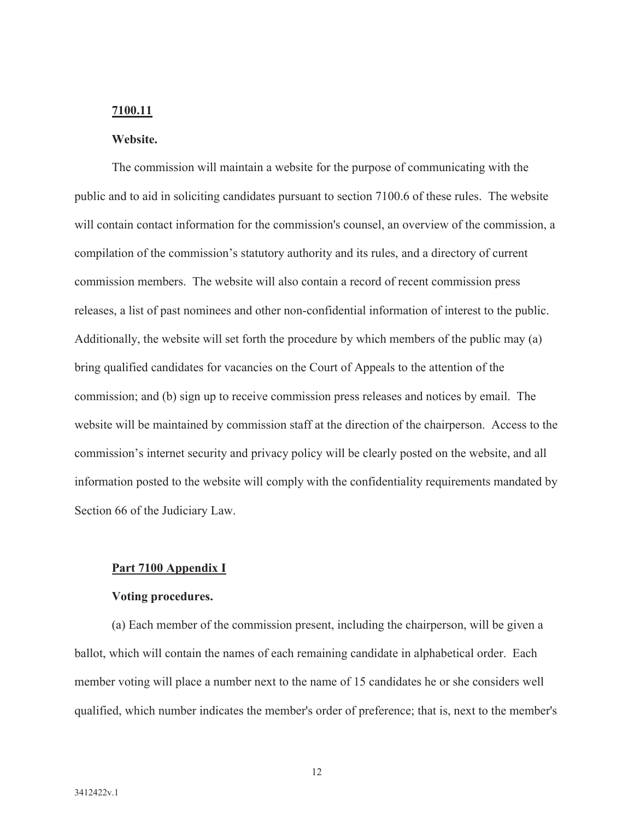# **7100.11**

# **Website.**

The commission will maintain a website for the purpose of communicating with the public and to aid in soliciting candidates pursuant to section 7100.6 of these rules. The website will contain contact information for the commission's counsel, an overview of the commission, a compilation of the commission's statutory authority and its rules, and a directory of current commission members. The website will also contain a record of recent commission press releases, a list of past nominees and other non-confidential information of interest to the public. Additionally, the website will set forth the procedure by which members of the public may (a) bring qualified candidates for vacancies on the Court of Appeals to the attention of the commission; and (b) sign up to receive commission press releases and notices by email. The website will be maintained by commission staff at the direction of the chairperson. Access to the commission's internet security and privacy policy will be clearly posted on the website, and all information posted to the website will comply with the confidentiality requirements mandated by Section 66 of the Judiciary Law.

#### **Part 7100 Appendix I**

#### **Voting procedures.**

(a) Each member of the commission present, including the chairperson, will be given a ballot, which will contain the names of each remaining candidate in alphabetical order. Each member voting will place a number next to the name of 15 candidates he or she considers well qualified, which number indicates the member's order of preference; that is, next to the member's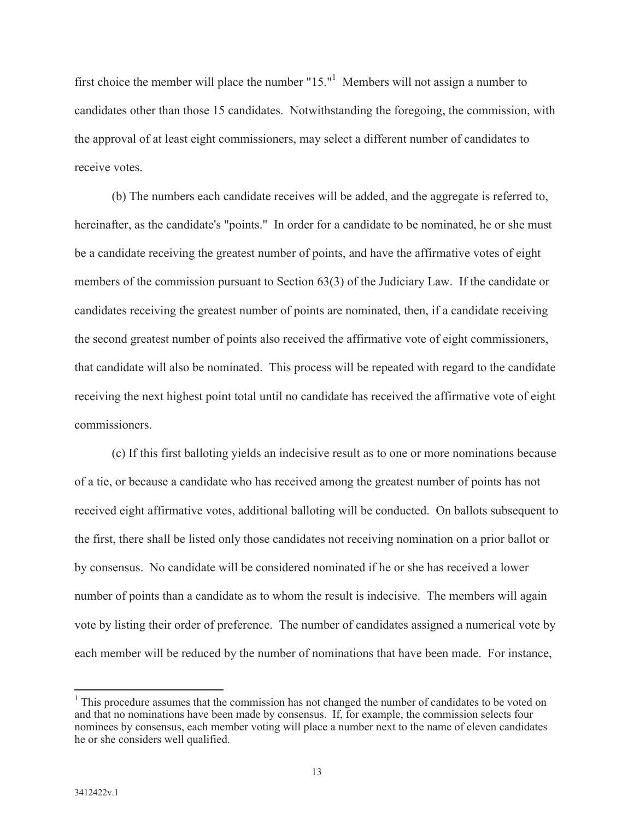first choice the member will place the number " $15."$ " Members will not assign a number to candidates other than those 15 candidates. Notwithstanding the foregoing, the commission, with the approval of at least eight commissioners, may select a different number of candidates to receive votes.

(b) The numbers each candidate receives will be added, and the aggregate is referred to, hereinafter, as the candidate's "points." In order for a candidate to be nominated, he or she must be a candidate receiving the greatest number of points, and have the affirmative votes of eight members of the commission pursuant to Section 63(3) of the Judiciary Law. If the candidate or candidates receiving the greatest number of points are nominated, then, if a candidate receiving the second greatest number of points also received the affirmative vote of eight commissioners, that candidate will also be nominated. This process will be repeated with regard to the candidate receiving the next highest point total until no candidate has received the affirmative vote of eight commissioners.

(c) If this first balloting yields an indecisive result as to one or more nominations because of a tie, or because a candidate who has received among the greatest number of points has not received eight affirmative votes, additional balloting will be conducted. On ballots subsequent to the first, there shall be listed only those candidates not receiving nomination on a prior ballot or by consensus. No candidate will be considered nominated if he or she has received a lower number of points than a candidate as to whom the result is indecisive. The members will again vote by listing their order of preference. The number of candidates assigned a numerical vote by each member will be reduced by the number of nominations that have been made. For instance,

<sup>&</sup>lt;sup>1</sup> This procedure assumes that the commission has not changed the number of candidates to be voted on and that no nominations have been made by consensus. If, for example, the commission selects four nominees by consensus, each member voting will place a number next to the name of eleven candidates he or she considers well qualified.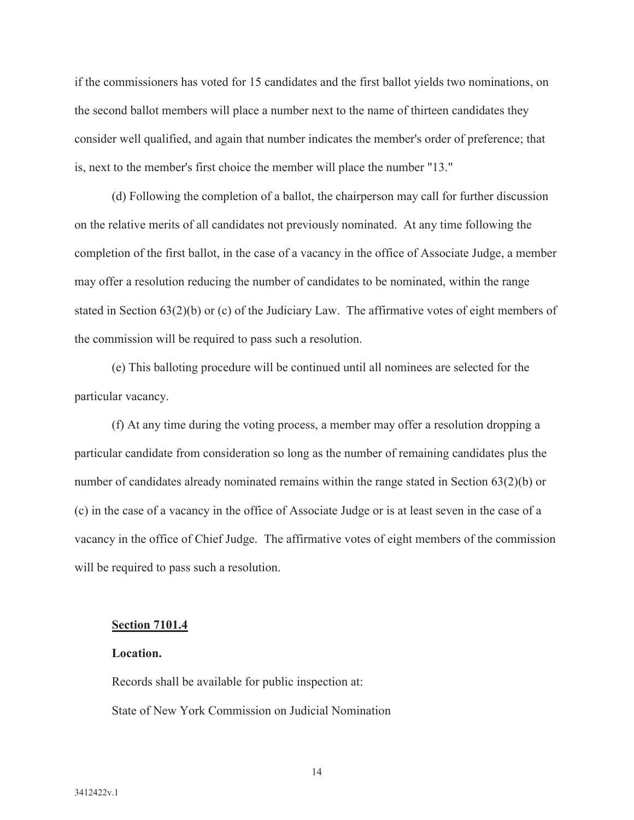if the commissioners has voted for 15 candidates and the first ballot yields two nominations, on the second ballot members will place a number next to the name of thirteen candidates they consider well qualified, and again that number indicates the member's order of preference; that is, next to the member's first choice the member will place the number "13."

(d) Following the completion of a ballot, the chairperson may call for further discussion on the relative merits of all candidates not previously nominated. At any time following the completion of the first ballot, in the case of a vacancy in the office of Associate Judge, a member may offer a resolution reducing the number of candidates to be nominated, within the range stated in Section 63(2)(b) or (c) of the Judiciary Law. The affirmative votes of eight members of the commission will be required to pass such a resolution.

(e) This balloting procedure will be continued until all nominees are selected for the particular vacancy.

(f) At any time during the voting process, a member may offer a resolution dropping a particular candidate from consideration so long as the number of remaining candidates plus the number of candidates already nominated remains within the range stated in Section 63(2)(b) or (c) in the case of a vacancy in the office of Associate Judge or is at least seven in the case of a vacancy in the office of Chief Judge. The affirmative votes of eight members of the commission will be required to pass such a resolution.

#### **Section 7101.4**

# **Location.**

Records shall be available for public inspection at: State of New York Commission on Judicial Nomination